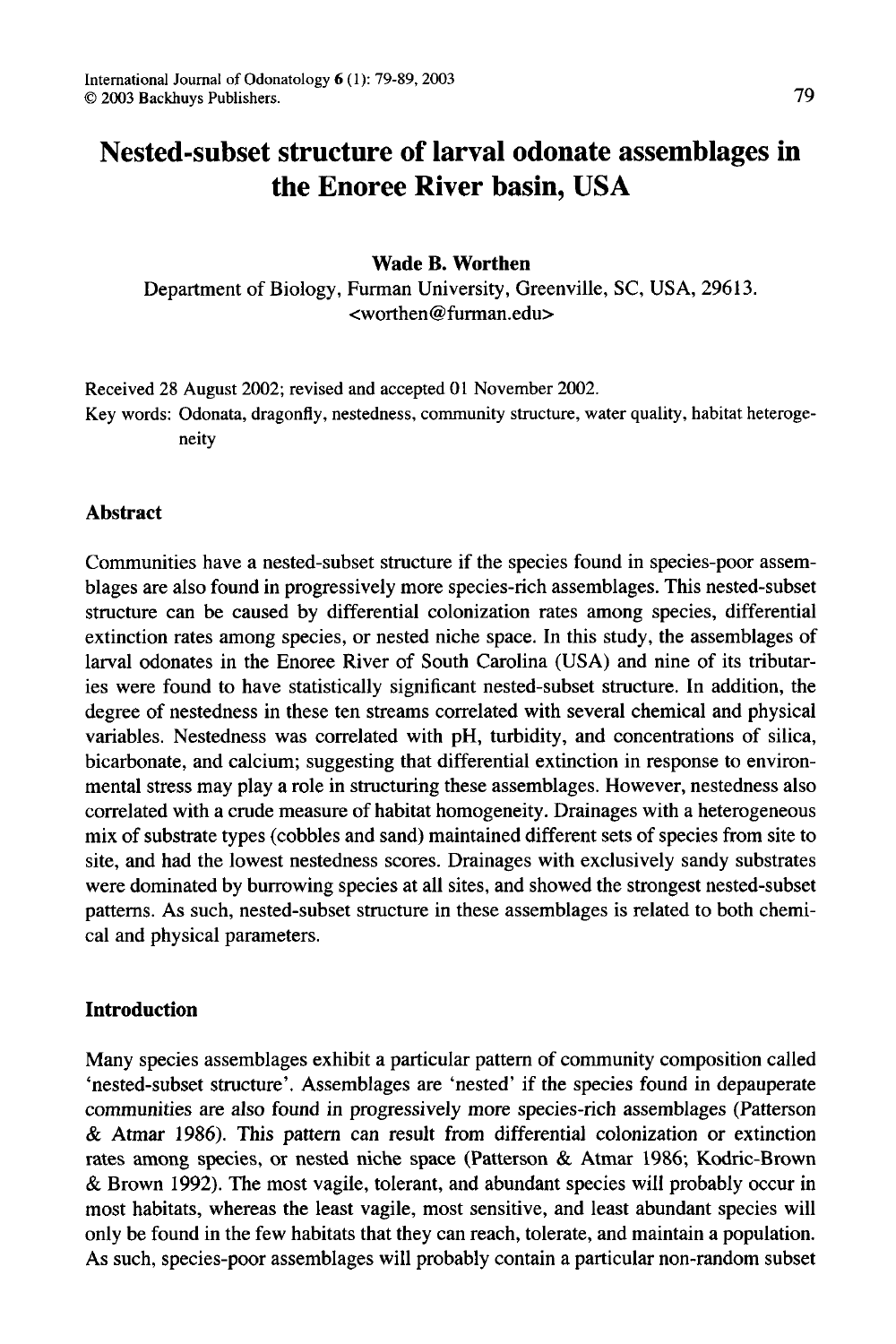# **Nested-subset structure of larval odonate assemblages in the Enoree River basin, USA**

# **Wade B. Worthen**

Department of Biology, Furman University, Greenville, SC, USA, 29613. <worthen@furman.edu>

Received 28 August 2002; revised and accepted 01 November 2002.

Key words: Odonata, dragonfly, nestedness, community structure, water quality, habitat heterogeneity

## **Abstract**

Communities have a nested-subset structure if the species found in species-poor assemblages are also found in progressively more species-rich assemblages. This nested-subset structure can be caused by differential colonization rates among species, differential extinction rates among species, or nested niche space. In this study, the assemblages of larval odonates in the Enoree River of South Carolina (USA) and nine of its tributaries were found to have statistically significant nested-subset structure. In addition, the degree of nestedness in these ten streams correlated with several chemical and physical variables. Nestedness was correlated with pH, turbidity, and concentrations of silica, bicarbonate, and calcium; suggesting that differential extinction in response to environmental stress may play a role in structuring these assemblages. However, nestedness also correlated with a crude measure of habitat homogeneity. Drainages with a heterogeneous mix of substrate types (cobbles and sand) maintained different sets of species from site to site, and had the lowest nestedness scores. Drainages with exclusively sandy substrates were dominated by burrowing species at all sites, and showed the strongest nested-subset patterns. As such, nested-subset structure in these assemblages is related to both chemical and physical parameters.

# **Introduction**

Many species assemblages exhibit a particular pattern of community composition called 'nested-subset structure'. Assemblages are 'nested' if the species found in depauperate communities are also found in progressively more species-rich assemblages (Patterson & Atmar 1986). This pattern can result from differential colonization or extinction rates among species, or nested niche space (Patterson & Atmar 1986; Kodric-Brown & Brown 1992). The most vagile, tolerant, and abundant species will probably occur in most habitats, whereas the least vagile, most sensitive, and least abundant species will only be found in the few habitats that they can reach, tolerate, and maintain a population. As such, species-poor assemblages will probably contain a particular non-random subset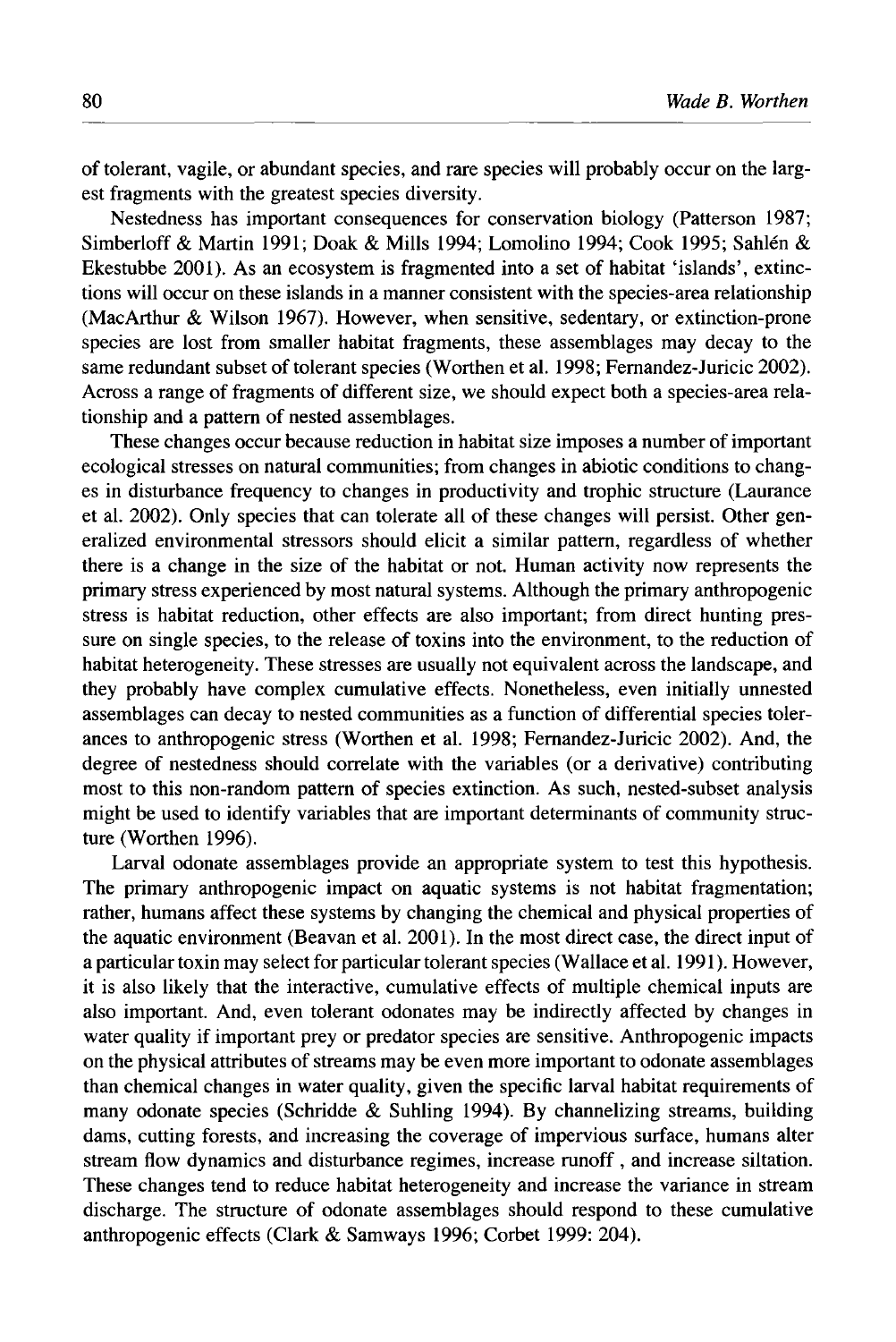of tolerant, vagile, or abundant species, and rare species will probably occur on the largest fragments with the greatest species diversity.

Nestedness has important consequences for conservation biology (Patterson 1987; Simberloff & Martin 1991; Doak & Mills 1994; Lomolino 1994; Cook 1995; Sahlen & Ekestubbe 2001). As an ecosystem is fragmented into a set of habitat 'islands', extinctions will occur on these islands in a manner consistent with the species-area relationship (MacArthur & Wilson 1967). However, when sensitive, sedentary, or extinction-prone species are lost from smaller habitat fragments, these assemblages may decay to the same redundant subset of tolerant species (Worthen et al. 1998; Fernandez-Juricic 2002). Across a range of fragments of different size, we should expect both a species-area relationship and a pattern of nested assemblages.

These changes occur because reduction in habitat size imposes a number of important ecological stresses on natural communities; from changes in abiotic conditions to changes in disturbance frequency to changes in productivity and trophic structure (Laurance et al. 2002). Only species that can tolerate all of these changes will persist. Other generalized environmental stressors should elicit a similar pattern, regardless of whether there is a change in the size of the habitat or not. Human activity now represents the primary stress experienced by most natural systems. Although the primary anthropogenic stress is habitat reduction, other effects are also important; from direct hunting pressure on single species, to the release of toxins into the environment, to the reduction of habitat heterogeneity. These stresses are usually not equivalent across the landscape, and they probably have complex cumulative effects. Nonetheless, even initially unnested assemblages can decay to nested communities as a function of differential species tolerances to anthropogenic stress (Worthen et al. 1998; Fernandez-Juricic 2002). And, the degree of nestedness should correlate with the variables (or a derivative) contributing most to this non-random pattern of species extinction. As such, nested-subset analysis might be used to identify variables that are important determinants of community structure (Worthen 1996).

Larval odonate assemblages provide an appropriate system to test this hypothesis. The primary anthropogenic impact on aquatic systems is not habitat fragmentation; rather, humans affect these systems by changing the chemical and physical properties of the aquatic environment (Beavan et al. 2001). In the most direct case, the direct input of a particular toxin may select for particular tolerant species (Wallace et al. 1991 ). However, it is also likely that the interactive, cumulative effects of multiple chemical inputs are also important. And, even tolerant odonates may be indirectly affected by changes in water quality if important prey or predator species are sensitive. Anthropogenic impacts on the physical attributes of streams may be even more important to odonate assemblages than chemical changes in water quality, given the specific larval habitat requirements of many odonate species (Schridde & Suhling 1994). By channelizing streams, building dams, cutting forests, and increasing the coverage of impervious surface, humans alter stream flow dynamics and disturbance regimes, increase runoff , and increase siltation. These changes tend to reduce habitat heterogeneity and increase the variance in stream discharge. The structure of odonate assemblages should respond to these cumulative anthropogenic effects (Clark & Samways 1996; Corbet 1999: 204).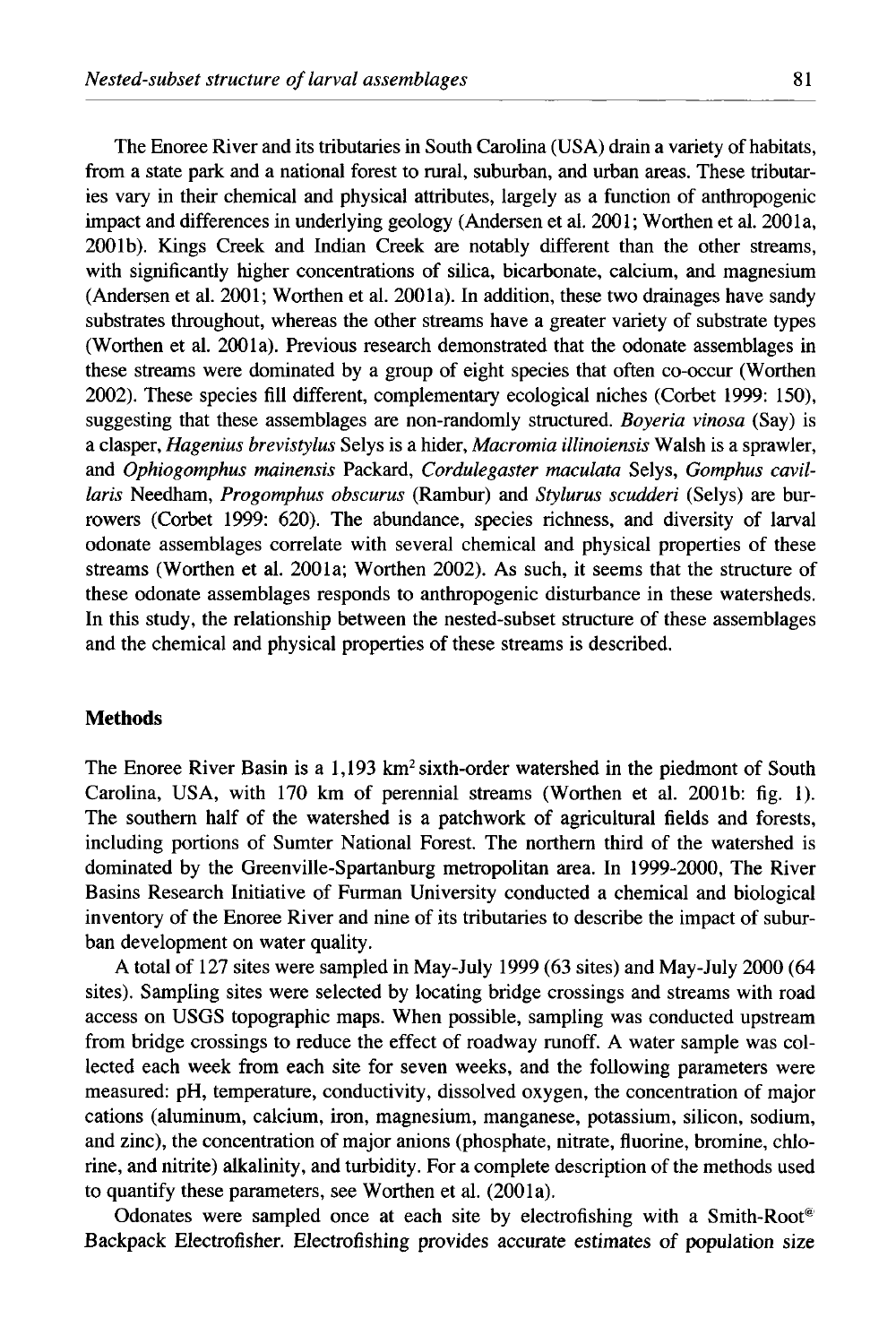The Enoree River and its tributaries in South Carolina (USA) drain a variety of habitats, from a state park and a national forest to rural, suburban, and urban areas. These tributaries vary in their chemical and physical attributes, largely as a function of anthropogenic impact and differences in underlying geology (Andersen et al. 2001; Worthen et al. 2001a, 2001b). Kings Creek and Indian Creek are notably different than the other streams, with significantly higher concentrations of silica, bicarbonate, calcium, and magnesium (Andersen et al. 2001; Worthen et al. 2001a). In addition, these two drainages have sandy substrates throughout, whereas the other streams have a greater variety of substrate types (Worthen et al. 2001a). Previous research demonstrated that the odonate assemblages in these streams were dominated by a group of eight species that often co-occur (Worthen 2002). These species fill different, complementary ecological niches (Corbet 1999: 150), suggesting that these assemblages are non-randomly structured. *Boyeria vinosa* (Say) is a clasper, *Hagenius brevistylus* Selys is a hider, *Macromia illinoiensis* Walsh is a sprawler, and *Ophiogomphus mainensis* Packard, *Cordulegaster maculata* Selys, *Gomphus cavillaris* Needham, *Progomphus obscurus* (Rambur) and *Stylurus scudderi* (Selys) are burrowers (Corbet 1999: 620). The abundance, species richness, and diversity of larval odonate assemblages correlate with several chemical and physical properties of these streams (Worthen et al. 200la; Worthen 2002). As such, it seems that the structure of these odonate assemblages responds to anthropogenic disturbance in these watersheds. In this study, the relationship between the nested-subset structure of these assemblages and the chemical and physical properties of these streams is described.

#### **Methods**

The Enoree River Basin is a  $1.193 \text{ km}^2 \text{ sixth-order watershed in the piedmont of South}$ Carolina, USA, with 170 km of perennial streams (Worthen et al. 2001b: fig. 1). The southern half of the watershed is a patchwork of agricultural fields and forests, including portions of Sumter National Forest. The northern third of the watershed is dominated by the Greenville-Spartanburg metropolitan area. In 1999-2000, The River Basins Research Initiative of Furman University conducted a chemical and biological inventory of the Enoree River and nine of its tributaries to describe the impact of suburban development on water quality.

A total of 127 sites were sampled in May-July 1999 (63 sites) and May-July 2000 (64 sites). Sampling sites were selected by locating bridge crossings and streams with road access on USGS topographic maps. When possible, sampling was conducted upstream from bridge crossings to reduce the effect of roadway runoff. A water sample was collected each week from each site for seven weeks, and the following parameters were measured: pH, temperature, conductivity, dissolved oxygen, the concentration of major cations (aluminum, calcium, iron, magnesium, manganese, potassium, silicon, sodium, and zinc), the concentration of major anions (phosphate, nitrate, fluorine, bromine, chlorine, and nitrite) alkalinity, and turbidity. For a complete description of the methods used to quantify these parameters, see Worthen et al. (200la).

Odonates were sampled once at each site by electrofishing with a Smith-Root<sup>®</sup> Backpack Electrofisher. Electrofishing provides accurate *estimates* of population size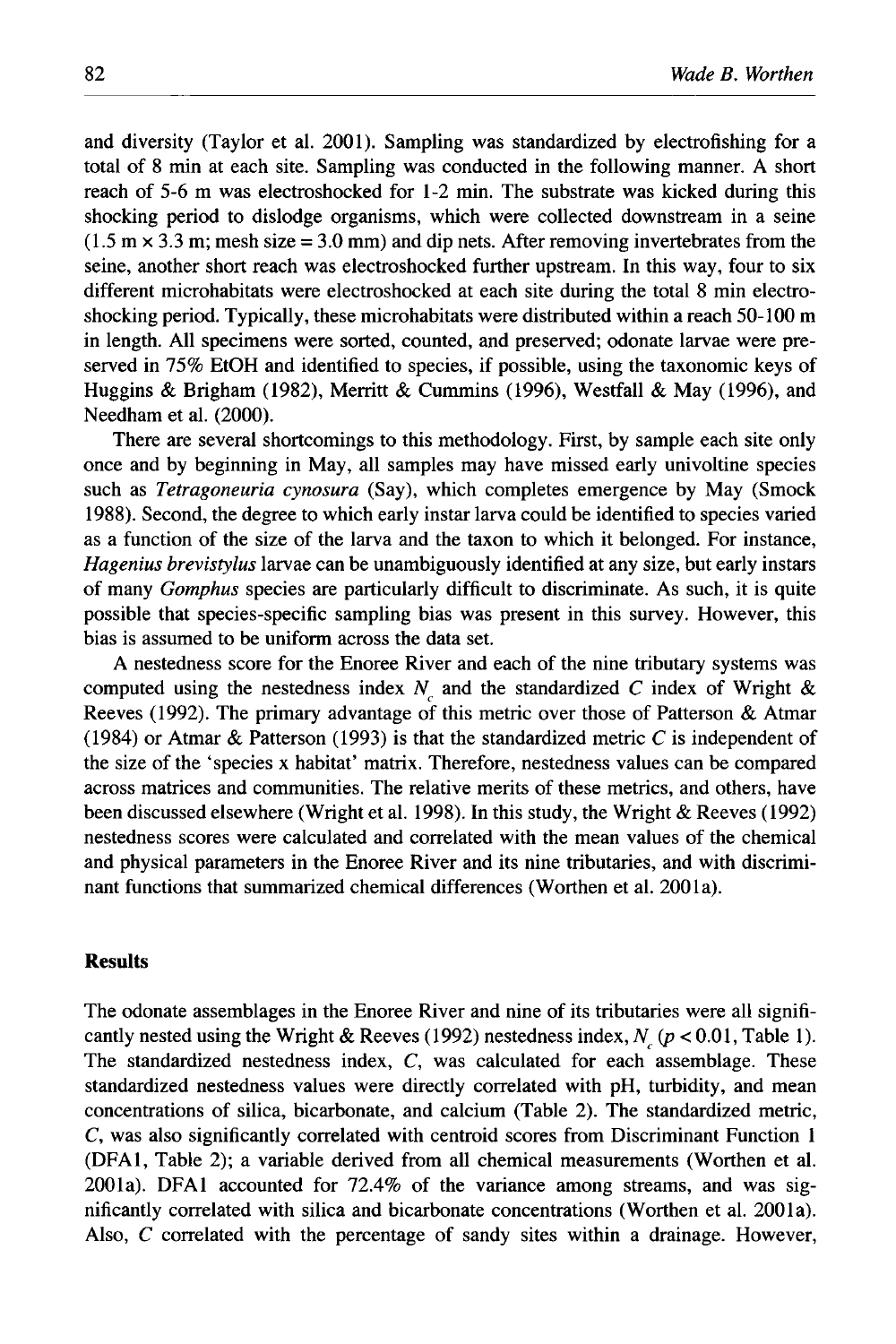and diversity (Taylor et al. 2001). Sampling was standardized by electrofishing for a total of 8 min at each site. Sampling was conducted in the following manner. A short reach of 5-6 m was electroshocked for 1-2 min. The substrate was kicked during this shocking period to dislodge organisms, which were collected downstream in a seine  $(1.5 \text{ m} \times 3.3 \text{ m}; \text{mesh size} = 3.0 \text{ mm})$  and dip nets. After removing invertebrates from the seine, another short reach was electroshocked further upstream. In this way, four to six different microhabitats were electroshocked at each site during the total 8 min electroshocking period. Typically, these microhabitats were distributed within a reach 50-100 m in length. All specimens were sorted, counted, and preserved; odonate larvae were preserved in 75% EtOH and identified to species, if possible, using the taxonomic keys of Huggins & Brigham (1982), Merritt & Cummins (1996), Westfall & May (1996), and Needham et al. (2000).

There are several shortcomings to this methodology. First, by sample each site only once and by beginning in May, all samples may have missed early univoltine species such as *Tetragoneuria cynosura* (Say), which completes emergence by May (Smock 1988). Second, the degree to which early instar larva could be identified to species varied as a function of the size of the larva and the taxon to which it belonged. For instance, *Hagenius brevistylus* larvae can be unambiguously identified at any size, but early instars of many *Gomphus* species are particularly difficult to discriminate. As such, it is quite possible that species-specific sampling bias was present in this survey. However, this bias is assumed to be uniform across the data set.

A nestedness score for the Enoree River and each of the nine tributary systems was computed using the nestedness index  $N_c$  and the standardized C index of Wright & Reeves (1992). The primary advantage of this metric over those of Patterson & Atmar (1984) or Atmar & Patterson (1993) is that the standardized metric C is independent of the size of the 'species x habitat' matrix. Therefore, nestedness values can be compared across matrices and communities. The relative merits of these metrics, and others, have been discussed elsewhere (Wright et al. 1998). In this study, the Wright & Reeves (1992) nestedness scores were calculated and correlated with the mean values of the chemical and physical parameters in the Enoree River and its nine tributaries, and with discriminant functions that summarized chemical differences (Worthen et al. 2001a).

### **Results**

The odonate assemblages in the Enoree River and nine of its tributaries were all significantly nested using the Wright & Reeves (1992) nestedness index,  $N_c$  ( $p < 0.01$ , Table 1). The standardized nestedness index,  $C$ , was calculated for each assemblage. These standardized nestedness values were directly correlated with pH, turbidity, and mean concentrations of silica, bicarbonate, and calcium (Table 2). The standardized metric, C, was also significantly correlated with centroid scores from Discriminant Function 1 (DFA1, Table 2); a variable derived from all chemical measurements (Worthen et al. 2001a). DFA1 accounted for 72.4% of the variance among streams, and was significantly correlated with silica and bicarbonate concentrations (Worthen et al. 2001a). Also, C correlated with the percentage of sandy sites within a drainage. However,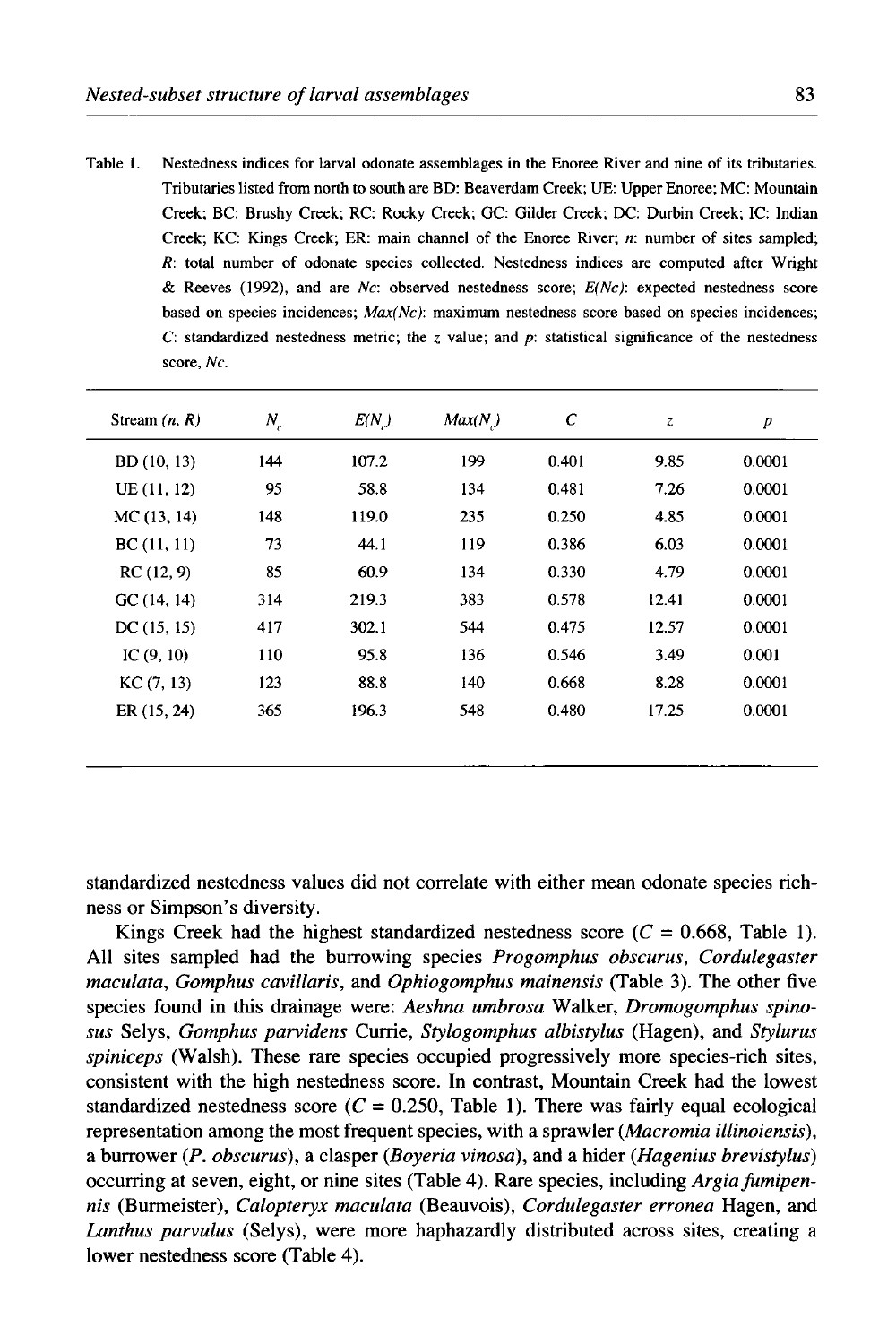| Table 1. | Nestedness indices for larval odonate assemblages in the Enoree River and nine of its tributaries. |
|----------|----------------------------------------------------------------------------------------------------|
|          | Tributaries listed from north to south are BD: Beaverdam Creek; UE: Upper Enoree; MC: Mountain     |
|          | Creek; BC: Brushy Creek; RC: Rocky Creek; GC: Gilder Creek; DC: Durbin Creek; IC: Indian           |
|          | Creek; KC: Kings Creek; ER: main channel of the Enoree River; n: number of sites sampled;          |
|          | R: total number of odonate species collected. Nestedness indices are computed after Wright         |
|          | & Reeves (1992), and are Nc: observed nestedness score; $E(Nc)$ : expected nestedness score        |
|          | based on species incidences; $Max(Nc)$ : maximum nestedness score based on species incidences;     |
|          | C: standardized nestedness metric; the z value; and p: statistical significance of the nestedness  |
|          | score, Nc.                                                                                         |
|          |                                                                                                    |

| Stream $(n, R)$ | $N_c$ | E(N)  | Max(N) | C     | z     | $\boldsymbol{p}$ |
|-----------------|-------|-------|--------|-------|-------|------------------|
| BD (10, 13)     | 144   | 107.2 | 199    | 0.401 | 9.85  | 0.0001           |
| UE(11, 12)      | 95    | 58.8  | 134    | 0.481 | 7.26  | 0.0001           |
| MC(13, 14)      | 148   | 119.0 | 235    | 0.250 | 4.85  | 0.0001           |
| BC(11, 11)      | 73    | 44.1  | 119    | 0.386 | 6.03  | 0.0001           |
| RC(12, 9)       | 85    | 60.9  | 134    | 0.330 | 4.79  | 0.0001           |
| GC(14, 14)      | 314   | 219.3 | 383    | 0.578 | 12.41 | 0.0001           |
| DC(15, 15)      | 417   | 302.1 | 544    | 0.475 | 12.57 | 0.0001           |
| IC $(9, 10)$    | 110   | 95.8  | 136    | 0.546 | 3.49  | 0.001            |
| KC(7, 13)       | 123   | 88.8  | 140    | 0.668 | 8.28  | 0.0001           |
| ER (15, 24)     | 365   | 196.3 | 548    | 0.480 | 17.25 | 0.0001           |

standardized nestedness values did not correlate with either mean odonate species richness or Simpson's diversity.

Kings Creek had the highest standardized nestedness score  $(C = 0.668,$  Table 1). All sites sampled had the burrowing species *Progomphus obscurus, Cordulegaster maculata, Gomphus cavillaris,* and *Ophiogomphus mainensis* (Table 3). The other five species found in this drainage were: *Aeshna umbrosa* Walker, *Dromogomphus spinasus* Selys, *Gomphus parvidens* Currie, *Stylogomphus albistylus* (Hagen), and *Stylurus spiniceps* (Walsh). These rare species occupied progressively more species-rich sites, consistent with the high nestedness score. In contrast, Mountain Creek had the lowest standardized nestedness score  $(C = 0.250,$  Table 1). There was fairly equal ecological representation among the most frequent species, with a sprawler *(Macromia illinoiensis),*  a burrower *(P. obscurus),* a clasper *(Boyeria vinosa),* and a hider *(Hagenius brevistylus)*  occurring at seven, eight, or nine sites (Table 4 ). Rare species, including *Argia fumipennis* (Burmeister), *Calopteryx maculata* (Beauvois), *Cordulegaster erronea* Hagen, and *Lanthus parvulus* (Selys), were more haphazardly distributed across sites, creating a lower nestedness score (Table 4).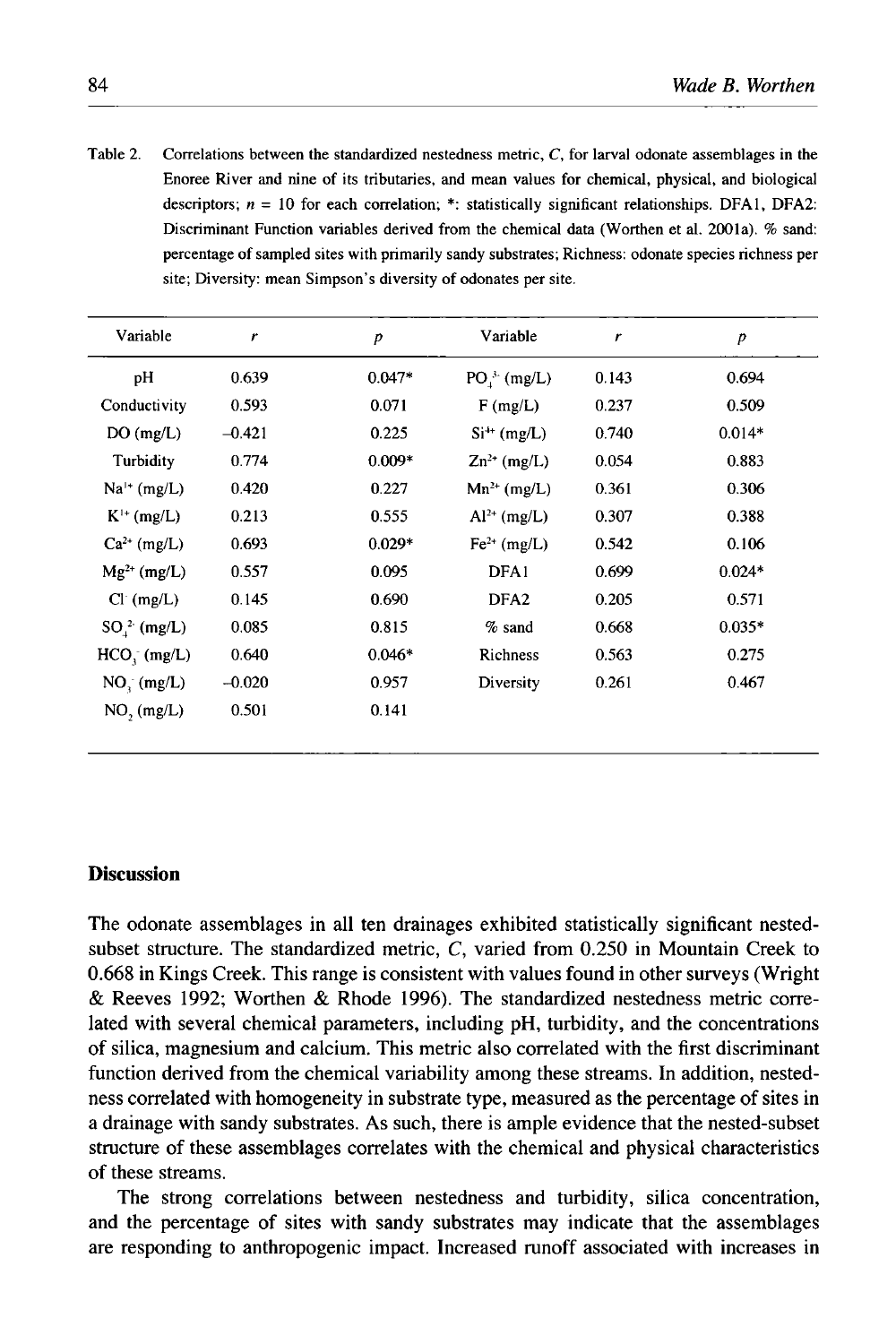Table 2. Correlations between the standardized nestedness metric, C, for larval odonate assemblages in the Enoree River and nine of its tributaries, and mean values for chemical, physical, and biological descriptors;  $n = 10$  for each correlation; \*: statistically significant relationships. DFA1, DFA2: Discriminant Function variables derived from the chemical data (Worthen et al. 2001a). % sand: percentage of sampled sites with primarily sandy substrates; Richness: odonate species richness per site; Diversity: mean Simpson's diversity of odonates per site.

| r        | $\boldsymbol{p}$ | Variable         | r     | $\boldsymbol{p}$ |
|----------|------------------|------------------|-------|------------------|
| 0.639    | $0.047*$         | $PO3$ (mg/L)     | 0.143 | 0.694            |
| 0.593    | 0.071            | F(mg/L)          | 0.237 | 0.509            |
| $-0.421$ | 0.225            | $Si^{++}$ (mg/L) | 0.740 | $0.014*$         |
| 0.774    | $0.009*$         | $Zn^{2+}$ (mg/L) | 0.054 | 0.883            |
| 0.420    | 0.227            | $Mn^{2+}$ (mg/L) | 0.361 | 0.306            |
| 0.213    | 0.555            | $Al^{2+}$ (mg/L) | 0.307 | 0.388            |
| 0.693    | $0.029*$         | $Fe2+$ (mg/L)    | 0.542 | 0.106            |
| 0.557    | 0.095            | DFA1             | 0.699 | $0.024*$         |
| 0.145    | 0.690            | DFA <sub>2</sub> | 0.205 | 0.571            |
| 0.085    | 0.815            | $%$ sand         | 0.668 | $0.035*$         |
| 0.640    | $0.046*$         | Richness         | 0.563 | 0.275            |
| $-0.020$ | 0.957            | Diversity        | 0.261 | 0.467            |
| 0.501    | 0.141            |                  |       |                  |
|          |                  |                  |       |                  |

## **Discussion**

The odonate assemblages in all ten drainages exhibited statistically significant nestedsubset structure. The standardized metric, C, varied from 0.250 in Mountain Creek to 0.668 in Kings Creek. This range is consistent with values found in other surveys (Wright & Reeves 1992; Worthen & Rhode 1996). The standardized nestedness metric correlated with several chemical parameters, including pH, turbidity, and the concentrations of silica, magnesium and calcium. This metric also correlated with the first discriminant function derived from the chemical variability among these streams. In addition, nestedness correlated with homogeneity in substrate type, measured as the percentage of sites in a drainage with sandy substrates. As such, there is ample evidence that the nested-subset structure of these assemblages correlates with the chemical and physical characteristics of these streams.

The strong correlations between nestedness and turbidity, silica concentration, and the percentage of sites with sandy substrates may indicate that the assemblages are responding to anthropogenic impact. Increased runoff associated with increases in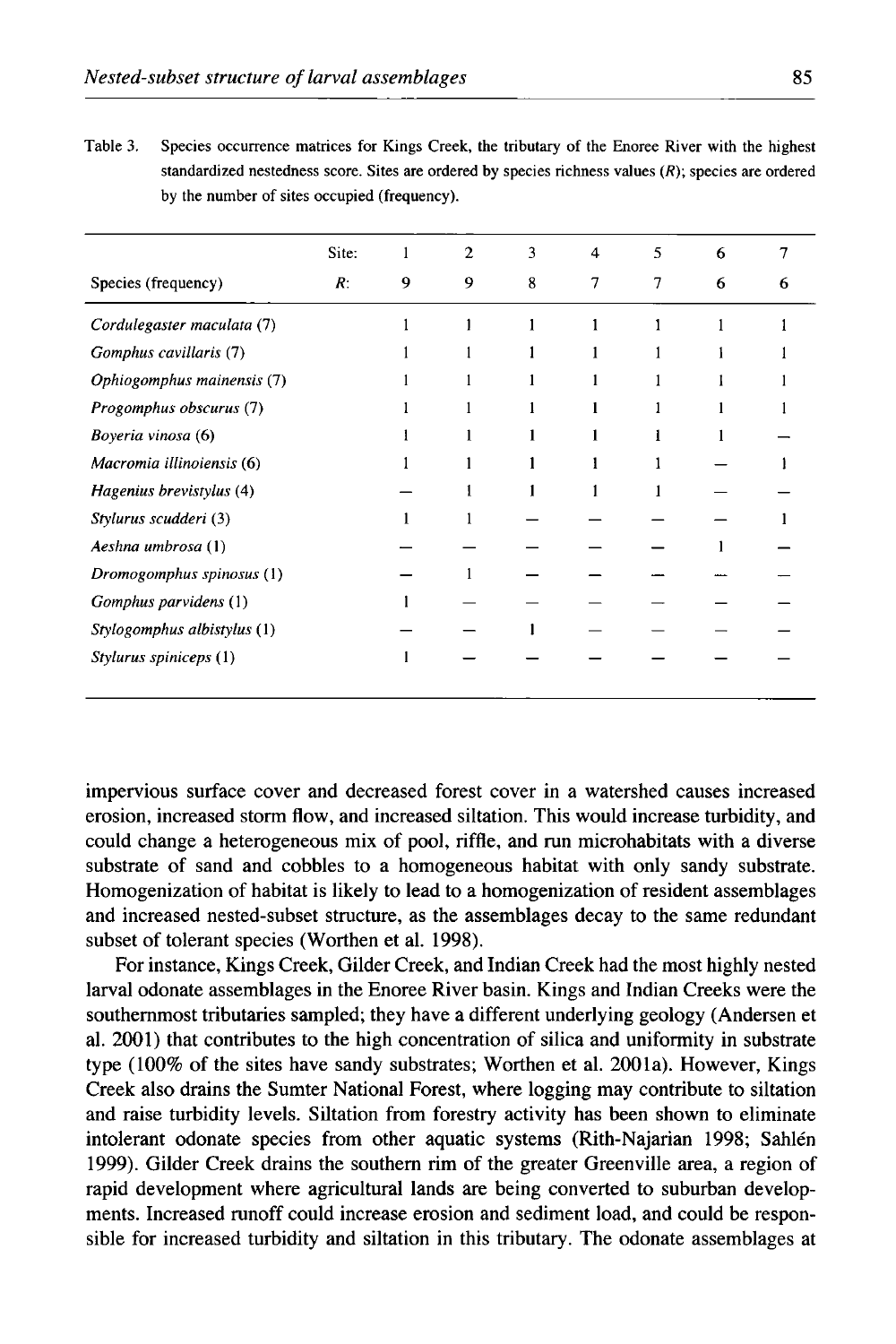| standardized nestedness score. Sites are ordered by species richness values $(R)$ ; species are ordered<br>by the number of sites occupied (frequency). |       |          |  |  |  |
|---------------------------------------------------------------------------------------------------------------------------------------------------------|-------|----------|--|--|--|
|                                                                                                                                                         | Site: | $\sim$ 2 |  |  |  |

| Table 3. | Species occurrence matrices for Kings Creek, the tributary of the Enoree River with the highest         |
|----------|---------------------------------------------------------------------------------------------------------|
|          | standardized nestedness score. Sites are ordered by species richness values $(R)$ ; species are ordered |
|          | by the number of sites occupied (frequency).                                                            |

|                             | SILC. |   |   |   | . . | Ω |  |
|-----------------------------|-------|---|---|---|-----|---|--|
| Species (frequency)         | R:    | 9 | 9 | 8 | 7   | 6 |  |
| Cordulegaster maculata (7)  |       |   |   |   |     |   |  |
| Gomphus cavillaris (7)      |       |   |   |   |     |   |  |
| Ophiogomphus mainensis (7)  |       |   |   |   |     |   |  |
| Progomphus obscurus (7)     |       |   |   |   |     |   |  |
| Boyeria vinosa (6)          |       |   |   |   |     |   |  |
| Macromia illinoiensis (6)   |       |   |   |   |     |   |  |
| Hagenius brevistylus (4)    |       |   |   |   |     |   |  |
| Stylurus scudderi (3)       |       |   |   |   |     |   |  |
| Aeshna umbrosa (1)          |       |   |   |   |     |   |  |
| Dromogomphus spinosus (1)   |       |   |   |   |     |   |  |
| Gomphus parvidens (1)       |       |   |   |   |     |   |  |
| Stylogomphus albistylus (1) |       |   |   |   |     |   |  |
| Stylurus spiniceps (1)      |       |   |   |   |     |   |  |
|                             |       |   |   |   |     |   |  |

impervious surface cover and decreased forest cover in a watershed causes increased erosion, increased storm flow, and increased siltation. This would increase turbidity, and could change a heterogeneous mix of pool, riffle, and run microhabitats with a diverse substrate of sand and cobbles to a homogeneous habitat with only sandy substrate. Homogenization of habitat is likely to lead to a homogenization of resident assemblages and increased nested-subset structure, as the assemblages decay to the same redundant subset of tolerant species (Worthen et al. 1998).

For instance, Kings Creek, Gilder Creek, and Indian Creek had the most highly nested larval odonate assemblages in the Enoree River basin. Kings and Indian Creeks were the southernmost tributaries sampled; they have a different underlying geology (Andersen et al. 2001) that contributes to the high concentration of silica and uniformity in substrate type (100% of the sites have sandy substrates; Worthen et al. 2001a). However, Kings Creek also drains the Sumter National Forest, where logging may contribute to siltation and raise turbidity levels. Siltation from forestry activity has been shown to eliminate intolerant odonate species from other aquatic systems (Rith-Najarian 1998; Sahlen 1999). Gilder Creek drains the southern rim of the greater Greenville area, a region of rapid development where agricultural lands are being converted to suburban developments. Increased runoff could increase erosion and sediment load, and could be responsible for increased turbidity and siltation in this tributary. The odonate assemblages at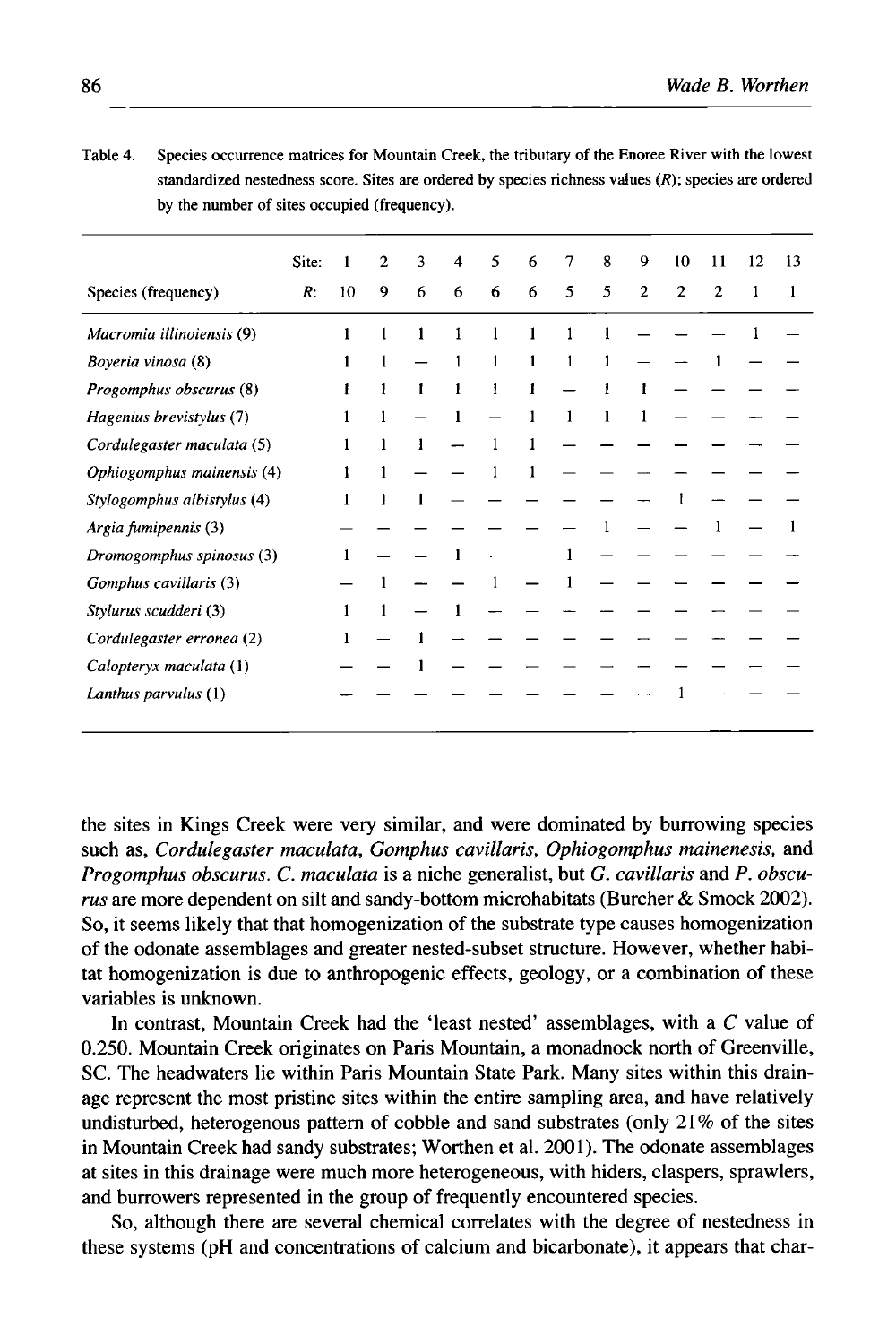Table 4. Species occurrence matrices for Mountain Creek, the tributary of the Enoree River with the lowest standardized nestedness score. Sites are ordered by species richness values (R); species are ordered by the number of sites occupied (frequency).

|                             | Site: |    | $\mathbf{2}$ | 3 | 4 | 5 | 6 | 7 | 8 | 9            | 10             | 11             | 12 | 13 |
|-----------------------------|-------|----|--------------|---|---|---|---|---|---|--------------|----------------|----------------|----|----|
| Species (frequency)         | R.    | 10 | 9            | 6 | 6 | 6 | 6 | 5 | 5 | $\mathbf{2}$ | $\overline{2}$ | $\overline{2}$ |    |    |
| Macromia illinoiensis (9)   |       |    |              |   |   |   |   |   |   |              |                |                |    |    |
| Boyeria vinosa (8)          |       |    |              |   |   | 1 |   |   |   |              |                |                |    |    |
| Progomphus obscurus (8)     |       |    |              | 1 | 1 | 1 | ŧ |   |   |              |                |                |    |    |
| Hagenius brevistylus (7)    |       |    |              |   |   |   |   |   |   |              |                |                |    |    |
| Cordulegaster maculata (5)  |       |    |              |   |   |   |   |   |   |              |                |                |    |    |
| Ophiogomphus mainensis (4)  |       |    |              |   |   |   |   |   |   |              |                |                |    |    |
| Stylogomphus albistylus (4) |       |    |              |   |   |   |   |   |   |              |                |                |    |    |
| Argia fumipennis (3)        |       |    |              |   |   |   |   |   |   |              |                |                |    |    |
| Dromogomphus spinosus (3)   |       |    |              |   |   |   |   |   |   |              |                |                |    |    |
| Gomphus cavillaris (3)      |       |    |              |   |   |   |   |   |   |              |                |                |    |    |
| Stylurus scudderi (3)       |       |    |              |   |   |   |   |   |   |              |                |                |    |    |
| Cordulegaster erronea (2)   |       |    |              |   |   |   |   |   |   |              |                |                |    |    |
| Calopteryx maculata (1)     |       |    |              |   |   |   |   |   |   |              |                |                |    |    |
| Lanthus parvulus (1)        |       |    |              |   |   |   |   |   |   |              |                |                |    |    |

the sites in Kings Creek were very similar, and were dominated by burrowing species such as, *Cordulegaster maculata, Gomphus cavillaris, Ophiogomphus mainenesis,* and *Progomphus obscurus.* C. *maculata* is a niche generalist, but G. *cavillaris* and *P. obscurus* are more dependent on silt and sandy-bottom microhabitats (Burcher & Smock 2002). So, it seems likely that that homogenization of the substrate type causes homogenization of the odonate assemblages and greater nested-subset structure. However, whether habitat homogenization is due to anthropogenic effects, geology, or a combination of these variables is unknown.

In contrast, Mountain Creek had the 'least nested' assemblages, with a C value of 0.250. Mountain Creek originates on Paris Mountain, a monadnock north of Greenville, SC. The headwaters lie within Paris Mountain State Park. Many sites within this drainage represent the most pristine sites within the entire sampling area, and have relatively undisturbed, heterogenous pattern of cobble and sand substrates (only 21% of the sites in Mountain Creek had sandy substrates; Worthen et al. 2001). The odonate assemblages at sites in this drainage were much more heterogeneous, with hiders, claspers, sprawlers, and burrowers represented in the group of frequently encountered species.

So, although there are several chemical correlates with the degree of nestedness in these systems (pH and concentrations of calcium and bicarbonate), it appears that char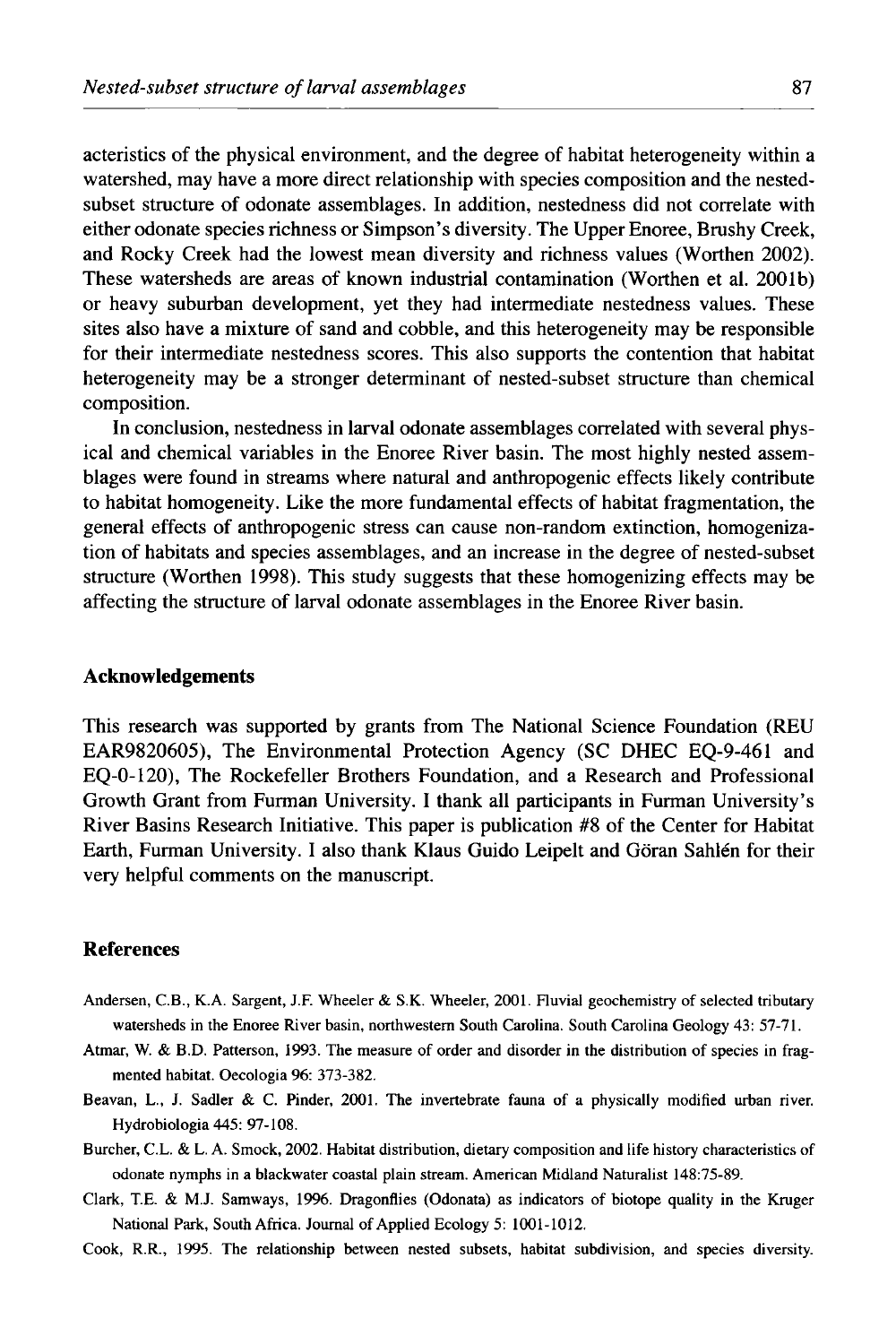acteristics of the physical environment, and the degree of habitat heterogeneity within a watershed, may have a more direct relationship with species composition and the nestedsubset structure of odonate assemblages. In addition, nestedness did not correlate with either odonate species richness or Simpson's diversity. The Upper Enoree, Brushy Creek, and Rocky Creek had the lowest mean diversity and richness values (Worthen 2002). These watersheds are areas of known industrial contamination (Worthen et al. 2001b) or heavy suburban development, yet they had intermediate nestedness values. These sites also have a mixture of sand and cobble, and this heterogeneity may be responsible for their intermediate nestedness scores. This also supports the contention that habitat heterogeneity may be a stronger determinant of nested-subset structure than chemical composition.

In conclusion, nestedness in larval odonate assemblages correlated with several physical and chemical variables in the Enoree River basin. The most highly nested assemblages were found in streams where natural and anthropogenic effects likely contribute to habitat homogeneity. Like the more fundamental effects of habitat fragmentation, the general effects of anthropogenic stress can cause non-random extinction, homogenization of habitats and species assemblages, and an increase in the degree of nested-subset structure (Worthen 1998). This study suggests that these homogenizing effects may be affecting the structure of larval odonate assemblages in the Enoree River basin.

#### **Acknowledgements**

This research was supported by grants from The National Science Foundation (REU EAR9820605), The Environmental Protection Agency (SC DHEC EQ-9-461 and EQ-0-120), The Rockefeller Brothers Foundation, and a Research and Professional Growth Grant from Furman University. I thank all participants in Furman University's River Basins Research Initiative. This paper is publication #8 of the Center for Habitat Earth, Furman University. I also thank Klaus Guido Leipelt and Goran Sahlen for their very helpful comments on the manuscript.

# **References**

- Andersen, C.B., K.A. Sargent, J.F. Wheeler & S.K. Wheeler, 2001. Fluvial geochemistry of selected tributary watersheds in the Enoree River basin, northwestern South Carolina. South Carolina Geology 43: 57-71.
- Atmar, W. & B.D. Patterson, 1993. The measure of order and disorder in the distribution of species in fragmented habitat. Oecologia 96: 373-382.
- Beavan, L., J. Sadler & C. Pinder, 2001. The invertebrate fauna of a physically modified urban river. Hydrobiologia 445: 97-108.
- Burcher, C.L. & L.A. Smock, 2002. Habitat distribution, dietary composition and life history characteristics of odonate nymphs in a blackwater coastal plain stream. American Midland Naturalist 148:75-89.
- Clark, T.E. & M.J. Samways, 1996. Dragonflies (Odonata) as indicators of biotope quality in the Kruger National Park, South Africa. Journal of Applied Ecology 5: 1001-1012.

Cook, R.R., 1995. The relationship between nested subsets, habitat subdivision, and species diversity.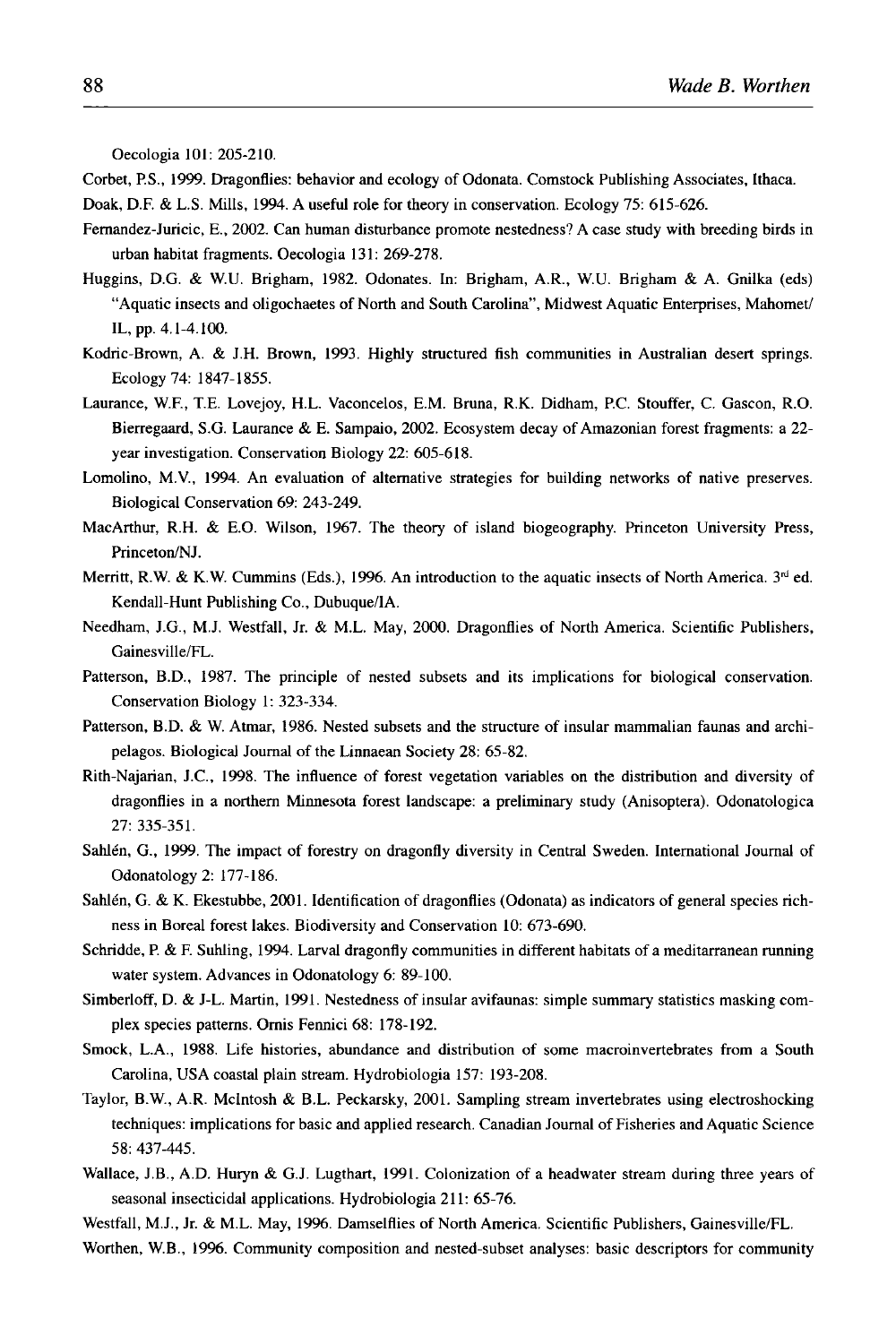Oecologia 101: 205-210.

Corbet, P.S., 1999. Dragonflies: behavior and ecology of Odonata. Comstock Publishing Associates, Ithaca.

Doak, D.F. & L.S. Mills, 1994. A useful role for theory in conservation. Ecology 75: 615-626.

- Fernandez-Juricic, E., 2002. Can human disturbance promote nestedness? A case study with breeding birds in urban habitat fragments. Oecologia 131: 269-278.
- Huggins, D.G. & W.U. Brigham, 1982. Odonates. In: Brigham, A.R., W.U. Brigham & A. Gnilka (eds) "Aquatic insects and oligochaetes of North and South Carolina", Midwest Aquatic Enterprises, Mahomet/ IL, pp. 4.1-4.100.
- Kodric-Brown, A. & J.H. Brown, 1993. Highly structured fish communities in Australian desert springs. Ecology 74: 1847-1855.
- Laurance, W.F., T.E. Lovejoy, H.L. Vaconcelos, E.M. Bruna, R.K. Didham, P.C. Stouffer, C. Gascon, R.O. Bierregaard, S.G. Laurance & E. Sampaio, 2002. Ecosystem decay of Amazonian forest fragments: a 22 year investigation. Conservation Biology 22: 605-618.
- Lomolino, M.V., 1994. An evaluation of alternative strategies for building networks of native preserves. Biological Conservation 69: 243-249.
- MacArthur, R.H. & E.O. Wilson, 1967. The theory of island biogeography. Princeton University Press, Princeton/NJ.
- Merritt, R.W. & K.W. Cummins (Eds.), 1996. An introduction to the aquatic insects of North America.  $3<sup>rd</sup>$  ed. Kendall-Hunt Publishing Co., Dubuque/IA.
- Needham, J.G., M.J. Westfall, Jr. & M.L. May, 2000. Dragonflies of North America. Scientific Publishers, Gainesville/FL.
- Patterson, B.D., 1987. The principle of nested subsets and its implications for biological conservation. Conservation Biology I: 323-334.
- Patterson, B.D. & W. Atmar, 1986. Nested subsets and the structure of insular mammalian faunas and archipelagos. Biological Journal of the Linnaean Society 28: 65-82.
- Rith-Najarian, J.C., 1998. The influence of forest vegetation variables on the distribution and diversity of dragonflies in a northern Minnesota forest landscape: a preliminary study (Anisoptera). Odonatologica 27: 335-351.
- Sahlen, G., 1999. The impact of forestry on dragonfly diversity in Central Sweden. International Journal of Odonatology 2: 177-186.
- Sahlén, G. & K. Ekestubbe, 2001. Identification of dragonflies (Odonata) as indicators of general species richness in Boreal forest lakes. Biodiversity and Conservation 10: 673-690.
- Schridde, P. & F. Suhling, 1994. Larval dragonfly communities in different habitats of a meditarranean running water system. Advances in Odonatology 6: 89-100.
- Simberloff, D. & J-L. Martin, 1991. Nestedness of insular avifaunas: simple summary statistics masking complex species patterns. Ornis Fennici 68: 178-192.
- Smock, L.A., 1988. Life histories, abundance and distribution of some macroinvertebrates from a South Carolina, USA coastal plain stream. Hydrobiologia 157: 193-208.
- Taylor, B.W., A.R. Mcintosh & B.L. Peckarsky, 2001. Sampling stream invertebrates using electroshocking techniques: implications for basic and applied research. Canadian Journal of Fisheries and Aquatic Science 58: 437-445.
- Wallace, J.B., A.D. Huryn & G.J. Lugthart, 1991. Colonization of a headwater stream during three years of seasonal insecticidal applications. Hydrobiologia 211: 65-76.

Westfall, M.J., Jr. & M.L. May, 1996. Damselflies of North America. Scientific Publishers, Gainesville/FL.

Worthen, W.B., 1996. Community composition and nested-subset analyses: basic descriptors for community